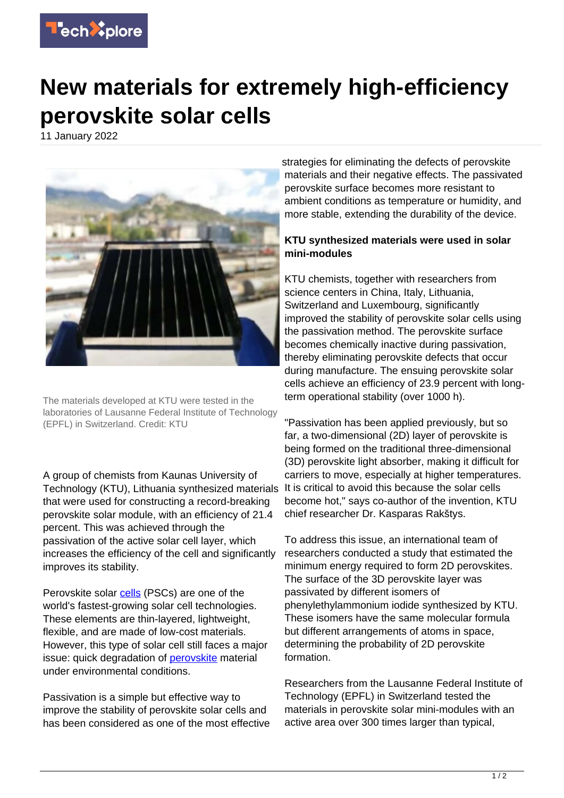

## **New materials for extremely high-efficiency perovskite solar cells**

11 January 2022



The materials developed at KTU were tested in the laboratories of Lausanne Federal Institute of Technology (EPFL) in Switzerland. Credit: KTU

A group of chemists from Kaunas University of Technology (KTU), Lithuania synthesized materials that were used for constructing a record-breaking perovskite solar module, with an efficiency of 21.4 percent. This was achieved through the passivation of the active solar cell layer, which increases the efficiency of the cell and significantly improves its stability.

Perovskite solar [cells](https://techxplore.com/tags/cells/) (PSCs) are one of the world's fastest-growing solar cell technologies. These elements are thin-layered, lightweight, flexible, and are made of low-cost materials. However, this type of solar cell still faces a major issue: quick degradation of [perovskite](https://techxplore.com/tags/perovskite/) material under environmental conditions.

Passivation is a simple but effective way to improve the stability of perovskite solar cells and has been considered as one of the most effective strategies for eliminating the defects of perovskite materials and their negative effects. The passivated perovskite surface becomes more resistant to ambient conditions as temperature or humidity, and more stable, extending the durability of the device.

## **KTU synthesized materials were used in solar mini-modules**

KTU chemists, together with researchers from science centers in China, Italy, Lithuania, Switzerland and Luxembourg, significantly improved the stability of perovskite solar cells using the passivation method. The perovskite surface becomes chemically inactive during passivation, thereby eliminating perovskite defects that occur during manufacture. The ensuing perovskite solar cells achieve an efficiency of 23.9 percent with longterm operational stability (over 1000 h).

"Passivation has been applied previously, but so far, a two-dimensional (2D) layer of perovskite is being formed on the traditional three-dimensional (3D) perovskite light absorber, making it difficult for carriers to move, especially at higher temperatures. It is critical to avoid this because the solar cells become hot," says co-author of the invention, KTU chief researcher Dr. Kasparas Rakštys.

To address this issue, an international team of researchers conducted a study that estimated the minimum energy required to form 2D perovskites. The surface of the 3D perovskite layer was passivated by different isomers of phenylethylammonium iodide synthesized by KTU. These isomers have the same molecular formula but different arrangements of atoms in space, determining the probability of 2D perovskite formation.

Researchers from the Lausanne Federal Institute of Technology (EPFL) in Switzerland tested the materials in perovskite solar mini-modules with an active area over 300 times larger than typical,